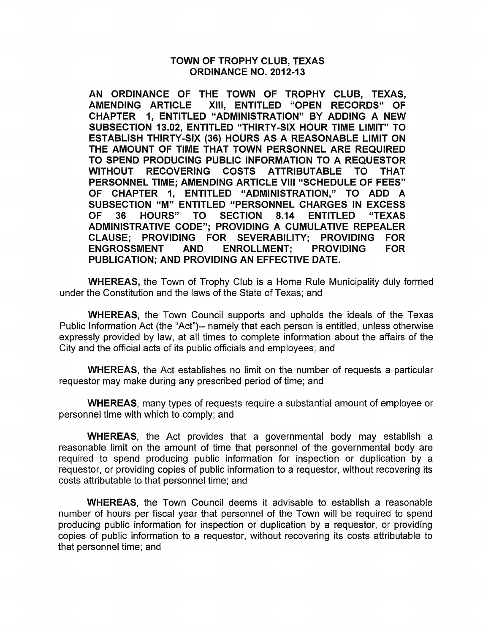### TOWN OF TROPHY CLUB, TEXAS ORDINANCE NO. 2012-13

AN ORDINANCE OF THE TOWN OF TROPHY CLUB, TEXAS, AMENDING ARTICLE XIII, ENTITLED "OPEN RECORDS" OF CHAPTER 1, ENTITLED "ADMINISTRATION" BY ADDING A NEW SUBSECTION 13.02, ENTITLED "THIRTY-SIX HOUR TIME LIMIT" TO ESTABLISH THIRTY-SIX (36) HOURS AS A REASONABLE LIMIT ON THE AMOUNT OF TIME THAT TOWN PERSONNEL ARE REQUIRED TO SPEND PRODUCING PUBLIC INFORMATION TO A REQUESTOR WITHOUT RECOVERING COSTS ATTRIBUTABLE TO THAT PERSONNEL TIME; AMENDING ARTICLE VIII "SCHEDULE OF FEES" OF CHAPTER 1, ENTITLED "ADMINISTRATION," TO ADD A SUBSECTION "M" ENTITLED "PERSONNEL CHARGES IN EXCESS<br>OF 36 HOURS" TO SECTION 8.14 ENTITLED "TEXAS 36 HOURS" TO ADMINISTRATIVE CODE"; PROVIDING A CUMULATIVE REPEALER CLAUSE; PROVIDING FOR SEVERABILITY; PROVIDING FOR ENGROSSMENT AND ENROLLMENT: PROVIDING PUBLICATION; AND PROVIDING AN EFFECTIVE DATE.

WHEREAS, the Town of Trophy Club is a Home Rule Municipality duly formed under the Constitution and the laws of the State of Texas; and

WHEREAS, the Town Council supports and upholds the ideals of the Texas Public Information Act (the "Act")-- namely that each person is entitled, unless otherwise expressly provided by law, at all times to complete information about the affairs of the City and the official acts of its public officials and employees; and

WHEREAS, the Act establishes no limit on the number of requests a particular requestor may make during any prescribed period of time; and

WHEREAS, many types of requests require a substantial amount of employee or personnel time with which to comply; and

WHEREAS, the Act provides that a governmental body may establish a reasonable limit on the amount of time that personnel of the governmental body are required to spend producing public information for inspection or duplication by a requestor, or providing copies of public information to a requestor, without recovering its costs attributable to that personnel time; and

WHEREAS, the Town Council deems it advisable to establish a reasonable number of hours per fiscal year that personnel of the Town will be required to spend producing public information for inspection or duplication by a requestor, or providing copies of public information to a requestor, without recovering its costs attributable to that personnel time; and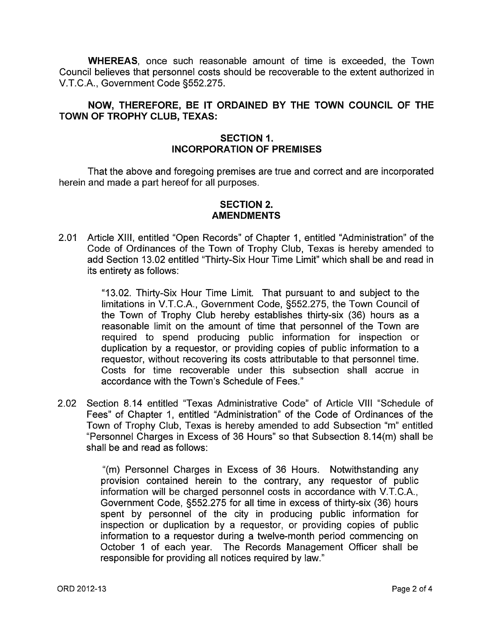WHEREAS, once such reasonable amount of time is exceeded, the Town Council believes that personnel costs should be recoverable to the extent authorized in V.T.C.A., Government Code §552.275.

# NOW, THEREFORE, BE IT ORDAINED BY THE TOWN COUNCIL OF THE TOWN OF TROPHY CLUB, TEXAS:

### SECTION 1. INCORPORATION OF PREMISES

That the above and foregoing premises are true and correct and are incorporated herein and made a part hereof for all purposes.

# SECTION 2. AMENDMENTS

2.01 Article XIII, entitled "Open Records" of Chapter 1, entitled "Administration" of the Code of Ordinances of the Town of Trophy Club, Texas is hereby amended to add Section 13.02 entitled "Thirty-Six Hour Time Limit" which shall be and read in its entirety as follows:

> "13.02. Thirty-Six Hour Time Limit. That pursuant to and subject to the limitations in V.T.C.A., Government Code, §552.275, the Town Council of the Town of Trophy Club hereby establishes thirty-six (36) hours as a reasonable limit on the amount of time that personnel of the Town are required to spend producing public information for inspection or duplication by a requestor, or providing copies of public information to a requestor, without recovering its costs attributable to that personnel time. Costs for time recoverable under this subsection shall accrue in accordance with the Town's Schedule of Fees."

2.02 Section 8.14 entitled "Texas Administrative Code" of Article VIII "Schedule of Fees" of Chapter 1, entitled "Administration" of the Code of Ordinances of the Town of Trophy Club, Texas is hereby amended to add Subsection "m" entitled "Personnel Charges in Excess of 36 Hours" so that Subsection 8.14(m) shall be shall be and read as follows:

> "(m) Personnel Charges in Excess of 36 Hours. Notwithstanding any provision contained herein to the contrary, any requestor of public information will be charged personnel costs in accordance with V.T.C.A., Government Code, §552.275 for all time in excess of thirty-six (36) hours spent by personnel of the city in producing public information for inspection or duplication by a requestor, or providing copies of public information to a requestor during a twelve-month period commencing on October 1 of each year. The Records Management Officer shall be responsible for providing all notices required by law."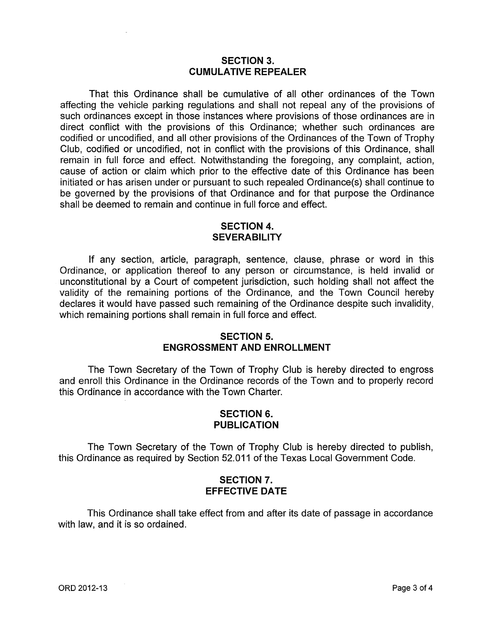#### **SECTION** 3. **CUMULATIVE REPEALER**

That this Ordinance shall be cumulative of all other ordinances of the Town affecting the vehicle parking regulations and shall not repeal any of the provisions of such ordinances except in those instances where provisions of those ordinances are in direct conflict with the provisions of this Ordinance; whether such ordinances are codified or uncodified, and all other provisions of the Ordinances of the Town of Trophy Club, codified or uncodified, not in conflict with the provisions of this Ordinance, shall remain in full force and effect. Notwithstanding the foregoing, any complaint, action, cause of action or claim which prior to the effective date of this Ordinance has been initiated or has arisen under or pursuant to such repealed Ordinance(s) shall continue to be governed by the provisions of that Ordinance and for that purpose the Ordinance shall be deemed to remain and continue in full force and effect.

### **SECTION** 4. **SEVERABILITY**

If any section, article, paragraph, sentence, clause, phrase or word in this Ordinance, or application thereof to any person or circumstance, is held invalid or unconstitutional by a Court of competent jurisdiction, such holding shall not affect the validity of the remaining portions of the Ordinance, and the Town Council hereby declares it would have passed such remaining of the Ordinance despite such invalidity, which remaining portions shall remain in full force and effect.

#### **SECTION 5.**  ENGROSSMENT AND ENROLLMENT

The Town Secretary of the Town of Trophy Club is hereby directed to engross and enroll this Ordinance in the Ordinance records of the Town and to properly record this Ordinance in accordance with the Town Charter.

# **SECTION 6. PUBLICATION**

The Town Secretary of the Town of Trophy Club is hereby directed to publish, this Ordinance as required by Section 52.011 of the Texas Local Government Code.

# **SECTION 7. EFFECTIVE DATE**

This Ordinance shall take effect from and after its date of passage in accordance with law, and it is so ordained.